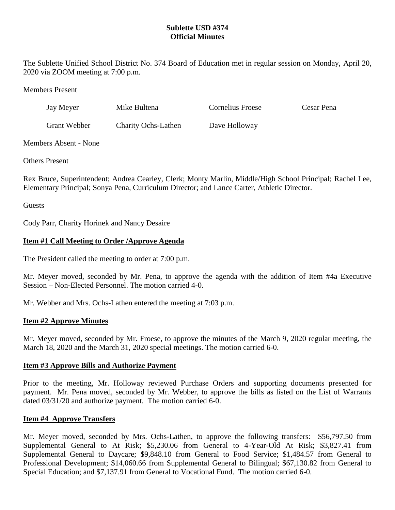# **Sublette USD #374 Official Minutes**

The Sublette Unified School District No. 374 Board of Education met in regular session on Monday, April 20, 2020 via ZOOM meeting at 7:00 p.m.

Members Present

| Jay Meyer    | Mike Bultena               | Cornelius Froese | Cesar Pena |
|--------------|----------------------------|------------------|------------|
| Grant Webber | <b>Charity Ochs-Lathen</b> | Dave Holloway    |            |

## Members Absent - None

Others Present

Rex Bruce, Superintendent; Andrea Cearley, Clerk; Monty Marlin, Middle/High School Principal; Rachel Lee, Elementary Principal; Sonya Pena, Curriculum Director; and Lance Carter, Athletic Director.

Guests

Cody Parr, Charity Horinek and Nancy Desaire

# **Item #1 Call Meeting to Order /Approve Agenda**

The President called the meeting to order at 7:00 p.m.

Mr. Meyer moved, seconded by Mr. Pena, to approve the agenda with the addition of Item #4a Executive Session – Non-Elected Personnel. The motion carried 4-0.

Mr. Webber and Mrs. Ochs-Lathen entered the meeting at 7:03 p.m.

# **Item #2 Approve Minutes**

Mr. Meyer moved, seconded by Mr. Froese, to approve the minutes of the March 9, 2020 regular meeting, the March 18, 2020 and the March 31, 2020 special meetings. The motion carried 6-0.

#### **Item #3 Approve Bills and Authorize Payment**

Prior to the meeting, Mr. Holloway reviewed Purchase Orders and supporting documents presented for payment. Mr. Pena moved, seconded by Mr. Webber, to approve the bills as listed on the List of Warrants dated 03/31/20 and authorize payment. The motion carried 6-0.

#### **Item #4 Approve Transfers**

Mr. Meyer moved, seconded by Mrs. Ochs-Lathen, to approve the following transfers: \$56,797.50 from Supplemental General to At Risk; \$5,230.06 from General to 4-Year-Old At Risk; \$3,827.41 from Supplemental General to Daycare; \$9,848.10 from General to Food Service; \$1,484.57 from General to Professional Development; \$14,060.66 from Supplemental General to Bilingual; \$67,130.82 from General to Special Education; and \$7,137.91 from General to Vocational Fund. The motion carried 6-0.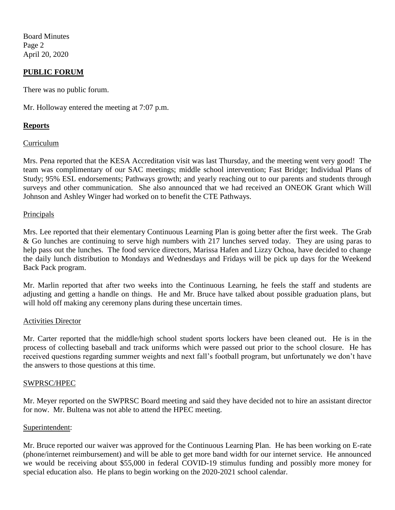Board Minutes Page 2 April 20, 2020

# **PUBLIC FORUM**

There was no public forum.

Mr. Holloway entered the meeting at 7:07 p.m.

## **Reports**

#### Curriculum

Mrs. Pena reported that the KESA Accreditation visit was last Thursday, and the meeting went very good! The team was complimentary of our SAC meetings; middle school intervention; Fast Bridge; Individual Plans of Study; 95% ESL endorsements; Pathways growth; and yearly reaching out to our parents and students through surveys and other communication. She also announced that we had received an ONEOK Grant which Will Johnson and Ashley Winger had worked on to benefit the CTE Pathways.

#### **Principals**

Mrs. Lee reported that their elementary Continuous Learning Plan is going better after the first week. The Grab & Go lunches are continuing to serve high numbers with 217 lunches served today. They are using paras to help pass out the lunches. The food service directors, Marissa Hafen and Lizzy Ochoa, have decided to change the daily lunch distribution to Mondays and Wednesdays and Fridays will be pick up days for the Weekend Back Pack program.

Mr. Marlin reported that after two weeks into the Continuous Learning, he feels the staff and students are adjusting and getting a handle on things. He and Mr. Bruce have talked about possible graduation plans, but will hold off making any ceremony plans during these uncertain times.

#### Activities Director

Mr. Carter reported that the middle/high school student sports lockers have been cleaned out. He is in the process of collecting baseball and track uniforms which were passed out prior to the school closure. He has received questions regarding summer weights and next fall's football program, but unfortunately we don't have the answers to those questions at this time.

#### SWPRSC/HPEC

Mr. Meyer reported on the SWPRSC Board meeting and said they have decided not to hire an assistant director for now. Mr. Bultena was not able to attend the HPEC meeting.

#### Superintendent:

Mr. Bruce reported our waiver was approved for the Continuous Learning Plan. He has been working on E-rate (phone/internet reimbursement) and will be able to get more band width for our internet service. He announced we would be receiving about \$55,000 in federal COVID-19 stimulus funding and possibly more money for special education also. He plans to begin working on the 2020-2021 school calendar.